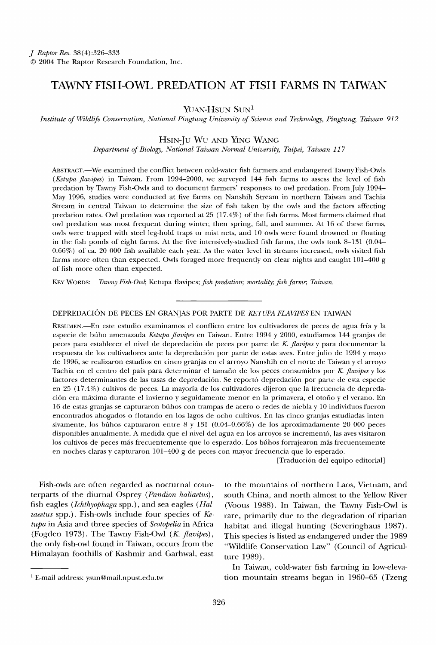# **TAWNY FISH-OWL PREDATION AT FISH FARMS IN TAIWAN**

YUAN-HSUN SUN<sup>1</sup>

**l•nstitute of Wildlife Conservation, National Pingtung University of Science and Technology, Pingtung, Taiwan 912** 

**HSIN-Ju Wu AND YING WANG** 

Department of Biology, National Taiwan Normal University, Taipei, Taiwan 117

**ABSTRAGT.--We examined the conflict between cold-water fish farmers and endangered Tawny Fish-Owls (Ketupa fiavipes) in Taiwan. From 1994-2000, we surveyed 144 fish farms to assess the level of fish predation by Tawny Fish-Owls and to document farmers' responses to owl predation. From July 1994- May 1996, studies were conducted at five farms on Nanshih Stream in northern Taiwan and Tachia Stream in central Taiwan to determine the size of fish taken by the owls and the factors affecting predation rates. Owl predation was reported at 25 (17.4%) of the fish farms. Most farmers claimed that owl predation was most frequent during winter, then spring, fall, and summer. At 16 of these farms, owls were trapped with steel leg-hold traps or mist nets, and 10 owls were found drowned or floating**  in the fish ponds of eight farms. At the five intensively-studied fish farms, the owls took 8-131 (0.04-**0.66%) of ca. 20 000 fish available each year. As the water level in streams increased, owls visited fish farms more often than expected. Owls foraged more frequently on clear nights and caught 101-400 g of fish more often than expected.** 

**KEY WORDS: Tawny Fish-Owl; Ketupa fiavipes; fish predation; mortality; fish farms; Taiwan.** 

## DEPREDACIÓN DE PECES EN GRANJAS POR PARTE DE KETUPA FLAVIPES EN TAIWAN

**RESUMEN.--En este estudio examinamos el conflicto entre los cultivadores de peces de agua fria y la especie de bfiho amenazada Ketupa fiavipes en Taiwan. Entre 1994 y 2000, estudiamos 144 granjas de peces para establecer el nivel de depredaci6n de peces pot parte de K. fiavipes y para documentar la**  respuesta de los cultivadores ante la depredación por parte de estas aves. Entre julio de 1994 y mayo **de 1996, se realizaron estudios en cinco granjas en el arroyo Nanshih en el norte de Taiwan y el arroyo**  Tachia en el centro del país para determinar el tamaño de los peces consumidos por K. flavipes y los **factores determinantes de las tasas de depredaci6n. Se report6 depredaci6n por parte de esta especie**  en 25 (17.4%) cultivos de peces. La mayoría de los cultivadores dijeron que la frecuencia de depreda**ci6n era mfixima durante el invierno y seguidamente menor en la primavera, el otofio y el verano. En 16 de estas granjas se capturaron bfihos con trampas de acero o redes de niebla y 10 individuos fueron encontrados ahogados o flotando en los lagos de ocho cultivos. En las cinco granjas estudiadas intensivamente, los bfihos capturaron entre 8 y 131 (0.04.0.66%) de los aproximadamente 20 000 peces disponibles anualmente. A medida que el nivel del agua en los arroyos se increment6, las aves visitaron**  los cultivos de peces más frecuentemente que lo esperado. Los búhos forrajearon más frecuentemente **en noches claras y capturaron 101-400 g de peces con mayor frecuencia que lo esperado.** 

**[Traducci6n del equipo editorial]** 

**Fish-owls are often regarded as nocturnal counterparts of the diurnal Osprey (Pandion haliaetus), fish eagles (Ichthyophaga spp.), and sea eagles (Haltaeetus spp.). Fish-owls include four species of Ketupa in Asia and three species of Scotopelia in Africa**  (Fogden 1973). The Tawny Fish-Owl (K. flavipes), **the only fish-owl found in Taiwan, occurs from the Himalayan foothills of Kashmir and Garhwal, east** 

**to the mountains of northern I,aos, Vietnam, and south China, and north almost to the Yellow River (Voous 1988). In Taiwan, the Tawny Fish-Owl is rare, primarily due to the degradation of riparian habitat and illegal hunting (Severinghaus 1987). This species is listed as endangered under the 1989 "Wildlife Conservation Law" (Council of Agriculture 1989).** 

**In Taiwan, cold-water fish farming in low-elevation mountain streams began in 1960-65 (Tzeng** 

**E-mail address: ysun@mail.npust.edu.tw**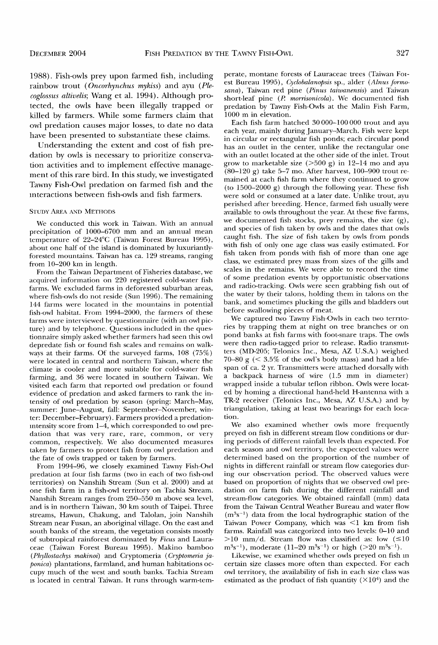**1988). Fish-owls prey upon farmed fish, including**  rainbow trout (Oncorhynchus mykiss) and ayu (Ple**coglossus altivdis; Wang et al. 1994). Although protected, the owls have been illegally trapped or killed by farmers. While some farmers claim that owl predation causes major losses, to date no data have been presented to substantiate these claims.** 

**Understanding the extent and cost of fish predation by owls is necessary to prioritize conservation activities and to implement effective management of this rare bird. In this study, we investigated Tawny Fish-Owl predation on farmed fish and the interactions between fish-owls and fish farmers.** 

#### **STUDY AREA AND METHODS**

**We conducted this work in Taiwan. With an annual precipitation of 1000-6700 mm and an annual mean**  temperature of 22-24°C (Taiwan Forest Bureau 1995), **about one half of the island is dominated by luxuriantlyforested mountains. Taiwan has ca. 129 streams, ranging from 10-200 km in length.** 

**From the Taiwan Department of Fisheries database, we acquired information on 220 registered cold-water fish farms. We excluded farms in deforested suburban areas, where fish-owls do not reside (Sun 1996). The remaining 144 farms were located in the mountains in potential fish-owl habitat. From 1994-2000, the farmers of these farms were interviewed by questionnaire (with an owl picture) and by telephone. Questions included in the questionnaire simply asked whether farmers had seen this owl depredate fish or found fish scales and remains on walkways at their farms. Of the surveyed farms, 108 (75%) were located in central and northern Taiwan, where the climate is cooler and more suitable for cold-water fish farming, and 36 were located in southern Taiwan. We visited each farm that reported owl predation or found evidence of predafion and asked farmers to rank the intensity of owl predafion by season (spring: March-May, summer: June-August, fall: September-November, winter: December-February). Farmers provided a predation- Intensity score from 1–4, which corresponded to owl predation that was very rare, rare, common, or very common, respectively. We also documented measures taken by farmers to protect fish from owl predation and the fate of owls trapped or taken by farmers.** 

**From 1994-96, we closely examined Tawny Fish-Owl predation at four fish farms (two in each of two fish-owl territories) on Nanshih Stream (Sun et al. 2000) and at one fish farm in a fish-owl territory on Tachia Stream. Nanshih Stream ranges from 250-550 m above sea level, and is in northern Taiwan, 30 km south of Taipei. Three streams, Hawun, Chakung, and Talolan, join Nanshih Stream near Fusan, an aboriginal village. On the east and south banks of the stream, the vegetation consists mostly of subtropical rainforest dominated by Ficus and Lauraceae (Taiwan Forest Bureau 1995). Makino bamboo**  (Phyllostachys makinoi) and Cryptomeria (Cryptomeria ja**ponica) plantations, farmland, and human habitations occupy much of the west and south banks. Tachia Stream •s located in central Taiwan. It runs through warm-tern-** **perate, montane forests of Lauraceae trees (Taiwan For**est Bureau 1995), Cyclobalanopsis sp., alder (Alnus formo**sana), Taiwan red pine (Pinus taiwanensis) and Taiwan**  short-leaf pine (P. morrisonicola). We documented fish **predation by Tawny Fish-Owls at the Malin Fish Farm, 1000 m in elevation.** 

**Each fish farm hatched 30 000-100 000 trout and ayu each year, mainly during January-March. Fish were kept in circular or rectangular fish ponds; each circular pond has an outlet in the center, unlike the rectangular one with an outlet located at the other side of the inlet. Trout grow to marketable size (>500 g) in 12-14 mo and ayu (80-120 g) take 5-7 mo. After harvest, 100-900 trout remained at each fish farm where they continued to grow (to 1500-2000 g) through the following year. These fish were sold or consumed at a later date. Unlike trout, ayu perished after breeding. Hence, farmed fish usually were available to owls throughout the year. At these five farms, we documented fish stocks, prey remains, the size (g), and species of fish taken by owls and the dates that owls caught fish. The size of fish taken by owls from ponds with fish of only one age class was easily estimated. For fish taken from ponds with fish of more than one age class, we estimated prey mass from sizes of the gills and scales in the remains. We were able to record the time of some predation events by opportunistic observations and radio-tracking. Owls were seen grabbing fish out of the water by their talons, holding them in talons on the bank, and sometimes plucking the gills and bladders out before swallowing pieces of meat.** 

**We captured two Tawny Fish-Owls in each two territories by trapping them at night on tree branches or on pond banks at fish farms with foot-snare traps. The owls**  were then radio-tagged prior to release. Radio transmit**ters (MD-205; Telonics Inc., Mesa, AZ U.S.A.) weighed 70-80 g (< 3.5% of the owl's body mass) and had a hfespan of ca. 2 yr. Transmitters were attached dorsally with a backpack harness of wire (1.5 mm in diameter) wrapped inside a tubular teflon ribbon. Owls were located by homing a directional hand-held H-antenna with a TR-2 receiver (Telonics Inc., Mesa, AZ U.S.A.) and by triangulation, taking at least two bearings for each location.** 

**We also examined whether owls more frequently preyed on fish in different stream flow conditions or during periods of different rainfall levels than expected. For each season and owl territory, the expected values were determined based on the proportion of the number of nights in different rainfall or stream flow categories during our observation period. The observed values were based on proportion of nights that we observed owl predation on farm fish during the different rainfall and stream-flow categories. We obtained rainfall (mm) data from the Taiwan Central Weather Bureau and water flow**   $(m<sup>3</sup>s<sup>-1</sup>)$  data from the local hydrographic station of the **Taiwan Power Company, which was <1 km from fish farms. Rainfall was categorized into two levels: 0-10 and**   $>10$  mm/d. Stream flow was classified as: low  $(\leq 10)$  $m^3s^{-1}$ ), moderate (11-20  $m^3s^{-1}$ ) or high (>20  $m^3s^{-1}$ ).

Likewise, we examined whether owls preyed on fish in **certain size classes more often than expected. For each owl territory, the availability of fish in each size class was estimated as the product of fish quantity (Xl04) and the**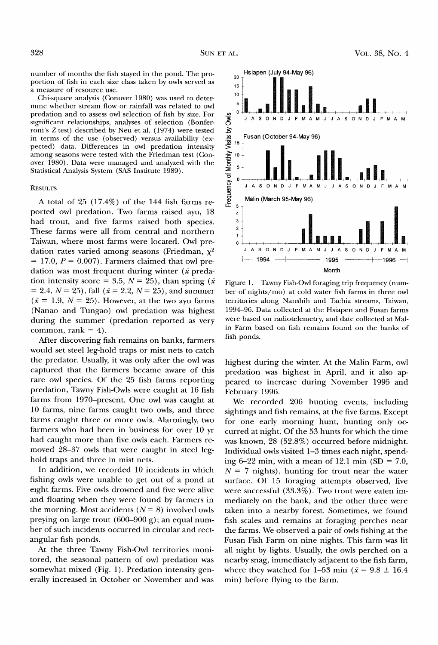**number of months the fish stayed in the pond. The proportion of fish in each size class taken by owls served as a measure of resource use.** 

**Ghi-square analysis (Gonover 1980) was used to deter**mine whether stream flow or rainfall was related to owl **predation and to assess owl selection of fish by size. For**  significant relationships, analyses of selection (Bonfer**roni's Z test) described by Neu et al. (1974) were tested in terms of the use (observed) versus availability (expected) data. Differences in owl predation intensity among seasons were tested with the Friedman test (Conover 1980). Data were managed and analyzed with the Statistical Analysis System (SAS Institute 1989).** 

#### **RESULTS**

**A total of 25 (17.4%) of the 144 fish farms reported owl predation. Two farms raised ayu, 18 had trout, and five farms raised both species. These farms were all from central and northern Taiwan, where most farms were located. Owl pre**dation rates varied among seasons (Friedman,  $\chi^2$  = 17.0, *P* = 0.007). Farmers claimed that owl predation was most frequent during winter  $(\bar{x}$  predation intensity score = 3.5,  $N = 25$ ), than spring ( $\bar{x}$ )  $= 2.4, N = 25$ , fall ( $\bar{x} = 2.2, N = 25$ ), and summer  $(\bar{x} = 1.9, N = 25)$ . However, at the two ayu farms **(Nanao and Tungao) owl predation was highest during the summer (predation reported as very**  common, rank  $= 4$ ).

**After discovering fish remains on banks, farmers would set steel leg-hold traps or mist nets to catch the predator. Usually, it was only after the owl was captured that the farmers became aware of this rare owl species. Of the 25 fish farms reporting predation, Tawny Fish-Owls were caught at 16 fish farms from 1970-present. One owl was caught at 10 farms, nine farms caught two owls, and three farms caught three or more owls. Alarmingly, two farmers who had been in business for over 10 yr had caught more than five owls each. Farmers removed 28-37 owls that were caught in steel leghold traps and three in mist nets.** 

**In addition, we recorded 10 incidents in which fishing owls were unable to get out of a pond at eight farms. Five owls drowned and five were alive and floating when they were found by farmers in**  the morning. Most accidents  $(N = 8)$  involved owls **preying on large trout (600-900 g); an equal number of such incidents occurred in circular and rectangular fish ponds.** 

**At the three Tawny Fish-Owl territories monitored, the seasonal pattern of owl predation was somewhat mixed (Fig. 1). Predation intensity generally increased in October or November and was** 



**Figure 1. Tawny Fish-Owl foraging trip frequency (number of nights/mo) at cold water fish farms in three owl**  territories along Nanshih and Tachia streams, Taiwan, **1994-96. Data collected at the Hsiapen and Fusan farms were based on radiotelemetry, and date collected at Malin Farm based on fish remains found on the banks of fish ponds.** 

**highest during the winter. At the Malin Farm, owl predation was highest in April, and it also appeared to increase during November 1995 and February 1996.** 

**We recorded 206 hunting events, including sightings and fish remains, at the five farms. Except for one early morning hunt, hunting only occurred at night. Of the 53 hunts for which the time was known, 28 (52.8%) occurred before midnight. Individual owls visited 1-3 times each night, spending 6-22 min, with a mean of 12.1 min (SD = 7.0,**   $N = 7$  nights), hunting for trout near the water **surface. Of 15 foraging attempts observed, five were successful (33.3%). Two trout were eaten immediately on the bank, and the other three were taken into a nearby forest. Sometimes, we found fish scales and remains at foraging perches near the farms. We observed a pair of owls fishing at the Fusan Fish Farm on nine nights. This farm was lit all night by lights. Usually, the owls perched on a nearby snag, immediately adjacent to the fish farm,**  where they watched for 1-53 min ( $\bar{x}$  = 9.8  $\pm$  16.4 **min) before flying to the farm.**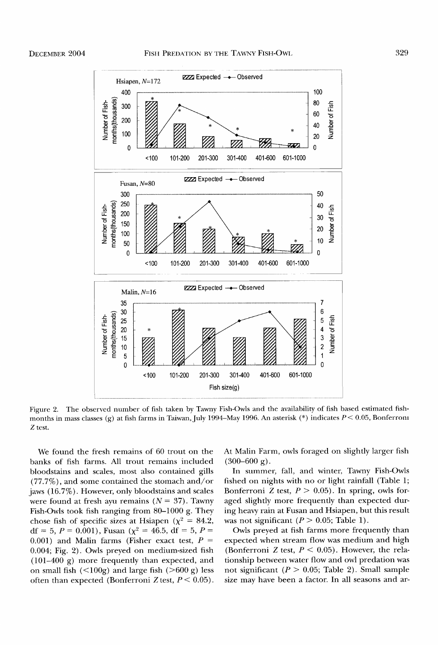

**Figure 2. The observed number of fish taken by Tawny Fish-Owls and the availability of fish based estimated fish**months in mass classes (g) at fish farms in Taiwan, July 1994-May 1996. An asterisk (\*) indicates  $P < 0.05$ , Bonferrom **Z test.** 

**We found the fresh remains of 60 trout on the banks of fish farms. All trout remains included bloodstains and scales, most also contained gills (77.7%), and some contained the stomach and/or jaws (16.7%). However, only bloodstains and scales**  were found at fresh ayu remains  $(N = 37)$ . Tawny **Fish-Owls took fish ranging from 80-1000 g. They**  chose fish of specific sizes at Hsiapen ( $\chi^2$  = 84.2,  $df = 5, P = 0.001$ , Fusan ( $\chi^2 = 46.5$ ,  $df = 5, P =$  $(0.001)$  and Malin farms (Fisher exact test,  $P =$ **0.004; Fig. 2). Owls preyed on medium-sized fish (101-400 g) more frequently than expected, and**  on small fish  $\left($  <100g) and large fish  $\left($  >600 g) less often than expected (Bonferroni Z test,  $P < 0.05$ ). **At Malin Farm, owls foraged on slighdy larger fish**   $(300-600 \text{ g})$ .

**In summer, fall, and winter, Tawny Fish-Owls fished on nights with no or light rainfall (Table 1; Bonferroni Z test, P > 0.05). In spring, owls foraged slightly more frequently than expected during heavy rain at Fusan and Hsiapen, but this result**  was not significant  $(P > 0.05;$  Table 1).

**Owls preyed at fish farms more frequently than expected when stream flow was medium and high (Bonferroni Z test, P < 0.05). However, the relationship between water flow and owl predation was**  not significant  $(P > 0.05$ ; Table 2). Small sample **size may have been a factor. In all seasons and at-**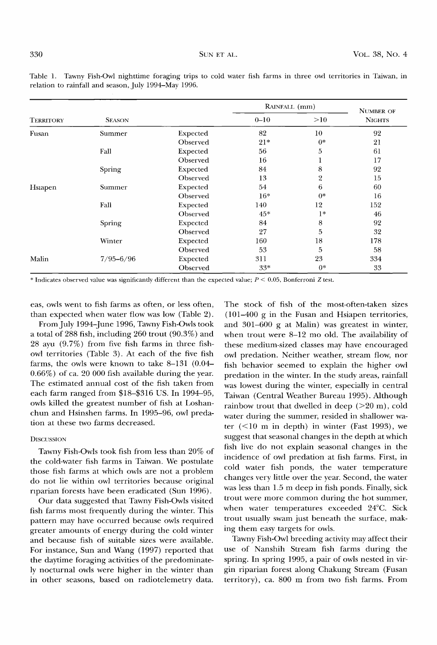|                  | <b>SEASON</b> |          | RAINFALL (mm) |                 | <b>NUMBER OF</b> |
|------------------|---------------|----------|---------------|-----------------|------------------|
| <b>TERRITORY</b> |               |          | $0 - 10$      | >10             | <b>NIGHTS</b>    |
| Fusan            | Summer        | Expected | 82            | 10 <sup>°</sup> | 92               |
|                  |               | Observed | $21*$         | $0*$            | 21               |
|                  | Fall          | Expected | 56            | 5               | 61               |
|                  |               | Observed | 16            |                 | 17               |
|                  | Spring        | Expected | 84            | 8               | 92               |
|                  |               | Observed | 13            | 2               | 15               |
| Hsiapen          | Summer        | Expected | 54            | 6               | 60               |
|                  |               | Observed | $16*$         | $0*$            | 16               |
|                  | Fall          | Expected | 140           | 12              | 152              |
|                  |               | Observed | $45*$         | $1*$            | 46               |
|                  | Spring        | Expected | 84            | 8               | 92               |
|                  |               | Observed | 27            | 5               | 32               |
|                  | Winter        | Expected | 160           | 18              | 178              |
|                  |               | Observed | 53            | 5               | 58               |
| Malin            | $7/95 - 6/96$ | Expected | 311           | 23              | 334              |
|                  |               | Observed | $33*$         | $0*$            | 33               |

**Table 1. Tawny Fish-Owl nighttime foraging trips to cold water fish farms in three owl territories in Taiwan, in relation to rainfall and season, July 1994-May 1996.** 

\* Indicates observed value was significantly different than the expected value;  $P \le 0.05$ , Bonferroni Z test.

**eas, owls went to fish farms as often, or less often, than expected when water flow was low (Table 2).** 

**From July 1994.June 1996, Tawny Fish-OMs took a total of 288 fish, including 260 trout (90.3%) and 28 ayu (9.7%) from five fish farms in three fishowl territories (Table 3). At each of the five fish farms, the owls were known to take 8-131 (0.04- 0.66%) of ca. 20 000 fish available during the year. The estimated annual cost of the fish taken from each farm ranged from \$18-\$316 US. In 1994-95, owls killed the greatest number of fish at Loshanchun and Hsinshen farms. In 1995-96, owl predation at these two farms decreased.** 

### **DISCUSSION**

**Tawny Fish-OMs took fish from less than 20% of**  the cold-water fish farms in Taiwan. We postulate **those fish farms at which owls are not a problem do not lie within owl territories because original riparian forests have been eradicated (Sun 1996).** 

**Our data suggested that Tawny Fish-Owls visited**  fish farms most frequently during the winter. This **pattern may have occurred because owls required greater amounts of energy during the cold winter and because fish of suitable sizes were available. For instance, Sun and Wang (1997) reported that the daytime foraging activities of the predominately nocturnal owls were higher in the winter than in other seasons, based on radiotelemetry data.** 

**The stock of fish of the most-often-taken sizes (101-400 g in the Fusan and Hsiapen territories, and 301-600 g at Malin) was greatest in winter, when trout were 8-12 mo old. The availability of these medium-sized classes may have encouraged owl predation. Neither weather, stream flow, nor fish behavior seemed to explain the higher owl predation in the winter. In the study areas, rainfall was lowest during the winter, especially in central Taiwan (Gentral Weather Bureau 1995). Although rainbow trout that dwelled in deep (>20 m), cold water during the summer, resided in shallower water (<10 m in depth) in winter (Fast 1993), we**  suggest that seasonal changes in the depth at which **fish live do not explain seasonal changes in the incidence of owl predation at fish farms. First, in cold water fish ponds, the water temperature changes very little over the year. Second, the water was less than 1.5 m deep in fish ponds. Finally, sick trout were more common during the hot summer, when water temperatures exceeded 24øG. Sick trout usually swam just beneath the surface, making them easy targets for owls.** 

**Tawny Fish-Owl breeding activity may affect their use of Nanshih Stream fish farms during the spring. In spring 1995, a pair of owls nested in virgin riparian forest along Ghakung Stream (Fusan territory), ca. 800 m from two fish farms. From**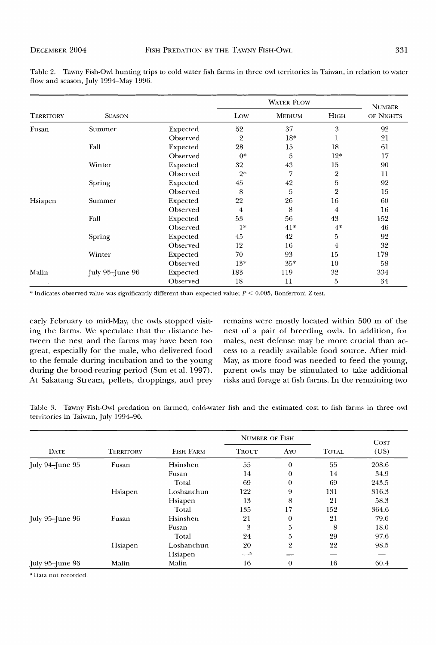| <b>TERRITORY</b> | <b>SEASON</b>     |          | <b>WATER FLOW</b> |               |                | <b>NUMBER</b> |  |
|------------------|-------------------|----------|-------------------|---------------|----------------|---------------|--|
|                  |                   |          | Low               | <b>MEDIUM</b> | Нісн           | OF NIGHTS     |  |
| Fusan            | Summer            | Expected | 52                | 37            | 3              | 92            |  |
|                  |                   | Observed | $\overline{2}$    | $18*$         | 1              | 21            |  |
|                  | Fall              | Expected | 28                | 15            | 18             | 61            |  |
|                  |                   | Observed | $0*$              | 5             | $12*$          | 17            |  |
|                  | Winter            | Expected | 32                | 43            | 15             | 90            |  |
|                  |                   | Observed | $2*$              | 7             | $\overline{2}$ | 11            |  |
|                  | Spring            | Expected | 45                | 42            | 5              | 92            |  |
|                  |                   | Observed | 8                 | 5             | $\overline{2}$ | 15            |  |
| Hsiapen          | Summer            | Expected | 22                | 26            | 16             | 60            |  |
|                  |                   | Observed | $\overline{4}$    | 8             | 4              | 16            |  |
|                  | Fall              | Expected | 53                | 56            | 43             | 152           |  |
|                  |                   | Observed | $1*$              | $41*$         | $4*$           | 46            |  |
|                  | Spring            | Expected | 45                | 42            | 5              | 92            |  |
|                  |                   | Observed | 12                | 16            | 4              | 32            |  |
|                  | Winter            | Expected | 70                | 93            | 15             | 178           |  |
|                  |                   | Observed | $13*$             | $35*$         | 10             | 58            |  |
| Malin            | July 95-June $96$ | Expected | 183               | 119           | 32             | 334           |  |
|                  |                   | Observed | 18                | 11            | 5              | 34            |  |

**Table 2. Tawny Fish-Owl hunting trips to cold water fish farms in three owl territories in Taiwan, in relation to water flow and season, July 1994-May 1996.** 

\* Indicates observed value was significantly different than expected value;  $P < 0.005$ , Bonferroni Z test.

**early February to mid-May, the owls stopped visiting the farms. We speculate that the distance between the nest and the farms may have been too great, especially for the male, who delivered food to the female during incubation and to the young during the brood-rearing period (Sun et al. 1997). At Sakatang Stream, pellets, droppings, and prey**  **remains were mostly located within 500 m of the nest of a pair of breeding owls. In addition, for males, nest defense may be more crucial than access to a readily available food source. After mid-May, as more food was needed to feed the young, parent owls may be stimulated to take additional risks and forage at fish farms. In the remaining two** 

**Table 3. Tawny Fish-Owl predation on farmed, cold-water fish and the estimated cost to fish farms in three owl territories in Taiwan, July 1994-96.** 

| <b>DATE</b>     | <b>TERRITORY</b> | FISH FARM  | <b>NUMBER OF FISH</b> |          |              | <b>COST</b> |
|-----------------|------------------|------------|-----------------------|----------|--------------|-------------|
|                 |                  |            | <b>TROUT</b>          | AYU      | <b>TOTAL</b> | (US)        |
| July 94–June 95 | Fusan            | Hsinshen   | 55                    | $\theta$ | 55           | 208.6       |
|                 |                  | Fusan      | 14                    | 0        | 14           | 34.9        |
|                 |                  | Total      | 69                    | $\theta$ | 69           | 243.5       |
|                 | Hsiapen          | Loshanchun | 122                   | 9        | 131          | 316.3       |
|                 |                  | Hsiapen    | 13                    | 8        | 21           | 58.3        |
|                 |                  | Total      | 135                   | 17       | 152          | 364.6       |
| July 95–June 96 | Fusan            | Hsinshen   | 21                    | $\theta$ | 21           | 79.6        |
|                 |                  | Fusan      | 3                     | 5        | 8            | 18.0        |
|                 |                  | Total      | 24                    | 5        | 29           | 97.6        |
|                 | Hsiapen          | Loshanchun | 20                    | 2        | 22           | 98.5        |
|                 |                  | Hsiapen    | $-a$                  |          |              |             |
| July 95–June 96 | Malin            | Malin      | 16                    | 0        | 16           | 60.4        |

**Data not recorded.**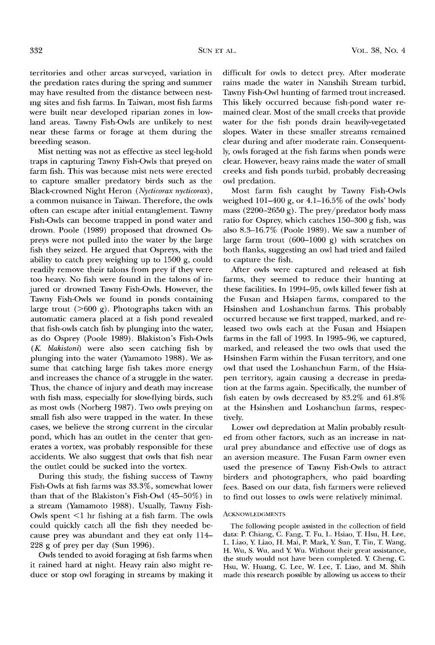**territories and other areas surveyed, variation in the predation rates during the spring and summer may have resulted from the distance between nest- •ng sites and fish farms. In Taiwan, most fish farms were built near developed riparian zones in lowland areas. Tawny Fish-Owls are unlikely to nest near these farms or forage at them during the breeding season.** 

**Mist netting was not as effective as steel leg-hold traps in capturing Tawny Fish-Owls that preyed on farm fish. This was because mist nets were erected to capture smaller predatory birds such as the Black-crowned Night Heron (Nycticorax nycticorax), a common nuisance in Taiwan. Therefore, the owls often can escape after initial entanglement. Tawny**  Fish-Owls can become trapped in pond water and **drown. Poole (1989) proposed that drowned Ospreys were not pulled into the water by the large fish they seized. He argued that Ospreys, with the ability to catch prey weighing up to 1500 g, could readily remove their talons from prey if they were too heavy. No fish were found in the talons of injured or drowned Tawny Fish-Owls. However, the Tawny Fish-Owls we found in ponds containing**  large trout  $(>600 \text{ g})$ . Photographs taken with an **automatic camera placed at a fish pond revealed that fish-owls catch fish by plunging into the water, as do Osprey (Poole 1989). Blakiston's Fish-Owls (K. blakistoni) were also seen catching fish by plunging into the water (Yamamoto 1988). We assume that catching large fish takes more energy and increases the chance of a struggle in the water. Thus, the chance of injury and death may increase**  with fish mass, especially for slow-flying birds, such **as most owls (Norberg 1987). Two owls preying on small fish also were trapped in the water. In these cases, we believe the strong current in the circular pond, which has an outlet in the center that generates a vortex, was probably responsible for these accidents. We also suggest that owls that fish near the outlet could be sucked into the vortex.** 

**During this study, the fishing success of Tawny Fish-Owls at fish farms was 33.3%, somewhat lower than that of the Blakiston's Fish-Owl (45-50%) in a stream (Yamamoto 1988). Usually, Tawny Fish-Owls spent <1 hr fishing at a fish farm. The owls could quickly catch all the fish they needed because prey was abundant and they eat only 114- 228 g of prey per day (Sun 1996).** 

**Owls tended to avoid foraging at fish farms when it rained hard at night. Heavy rain also might reduce or stop owl foraging in streams by making it** 

**difficult for owls to detect prey. After moderate rains made the water in Nanshih Stream turbid, Tawny Fish-Owl hunting of farmed trout increased. This likely occurred because fish-pond water remained clear. Most of the small creeks that provide water for the fish ponds drain heavily-vegetated slopes. Water in these smaller streams remained clear during and after moderate rain. Gonsequently, owls foraged at the fish farms when ponds were clear. However, heavy rains made the water of small creeks and fish ponds turbid, probably decreasing owl predation.** 

**Most farm fish caught by Tawny Fish-Owls weighed 101-400 g, or 4.1-16.5% of the owls' body mass (2200-2650 g). The prey/predator body mass ratio for Osprey, which catches 150-300 g fish, was also 8.3-16.7% (Poole 1989). We saw a number of large farm trout (600-1000 g) with scratches on both flanks, suggesting an owl had tried and failed to capture the fish.** 

**After owls were captured and released at fish farms, they seemed to reduce their hunting at these facilities. In 1994-95, owls killed fewer fish at the Fusan and Hsiapen farms, compared to the Hsinshen and Loshanchun farms. This probably occurred because we first trapped, marked, and released two owls each at the Fusan and Hsiapen**  farms in the fall of 1993. In 1995-96, we captured, **marked, and released the two owls that used the Hsinshen Farm within the Fusan territory, and one owl that used the Loshanchun Farm, of the Hsiapen territory, again causing a decrease in preda**tion at the farms again. Specifically, the number of fish eaten by owls decreased by 83.2% and  $61.8\%$ **at the Hsinshen and Loshanchun farms, respectively.** 

**Lower owl depredation at Malin probably resulted from other factors, such as an increase in natural prey abundance and effective use of dogs as an aversion measure. The Fusan Farm owner even used the presence of Tawny Fish-Owls to attract birders and photographers, who paid boarding fees. Based on our data, fish farmers were relieved to find out losses to owls were relatively minimal.** 

#### **ACKNOWLEDGMENTS**

**The following people assisted in the collection of field data: P. Chiang, C. Fang, T. Fu, L. Hsiao, T. Hsu, H. Lee, L. Liao, Y. Liao, H. Mai, P. Mark, Y. Sun, T. Tin, T. Wang, H. Wu, S. Wu, and Y. Wu. Without their great assistance, the study would not have been completed. Y. Cheng, C. Hsu, W. Huang, C. Lee, W. Lee, T. Liao, and M. Shih made this research possible by allowing us access to their**